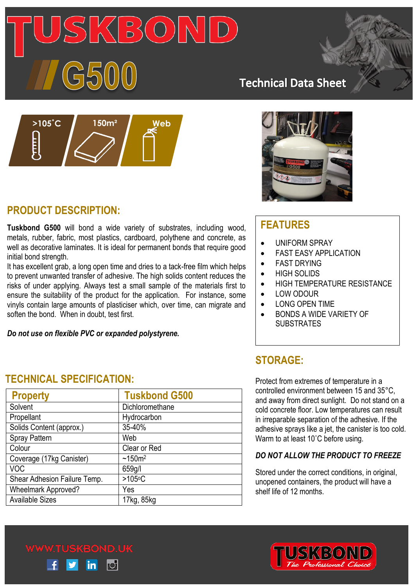# $\sqrt[16]{3}$

# **Technical Data Sheet**



# **PRODUCT DESCRIPTION:**

**Tuskbond G500** will bond a wide variety of substrates, including wood, metals, rubber, fabric, most plastics, cardboard, polythene and concrete, as well as decorative laminates. It is ideal for permanent bonds that require good initial bond strength.

It has excellent grab, a long open time and dries to a tack-free film which helps to prevent unwanted transfer of adhesive. The high solids content reduces the risks of under applying. Always test a small sample of the materials first to ensure the suitability of the product for the application. For instance, some vinyls contain large amounts of plasticiser which, over time, can migrate and soften the bond. When in doubt, test first.

*Do not use on flexible PVC or expanded polystyrene.*



# **FEATURES**

- UNIFORM SPRAY
- **•** FAST EASY APPLICATION
- **•** FAST DRYING
- HIGH SOLIDS
- **HIGH TEMPERATURE RESISTANCE**
- $\bullet$  LOW ODOUR
- **LONG OPEN TIME**
- BONDS A WIDE VARIETY OF **SUBSTRATES**

# **STORAGE:**

Protect from extremes of temperature in a controlled environment between 15 and 35°C, and away from direct sunlight. Do not stand on a cold concrete floor. Low temperatures can result in irreparable separation of the adhesive. If the adhesive sprays like a jet, the canister is too cold. Warm to at least 10˚C before using.

## *DO NOT ALLOW THE PRODUCT TO FREEZE*

Stored under the correct conditions, in original, unopened containers, the product will have a shelf life of 12 months.



# **TECHNICAL SPECIFICATION:**

| <b>Property</b>              | <b>Tuskbond G500</b> |
|------------------------------|----------------------|
| Solvent                      | Dichloromethane      |
| Propellant                   | Hydrocarbon          |
| Solids Content (approx.)     | 35-40%               |
| <b>Spray Pattern</b>         | Web                  |
| Colour                       | Clear or Red         |
| Coverage (17kg Canister)     | $~150m^2$            |
| <b>VOC</b>                   | 659g/l               |
| Shear Adhesion Failure Temp. | $>105$ °C            |
| <b>Wheelmark Approved?</b>   | Yes                  |
| <b>Available Sizes</b>       | 17kg, 85kg           |